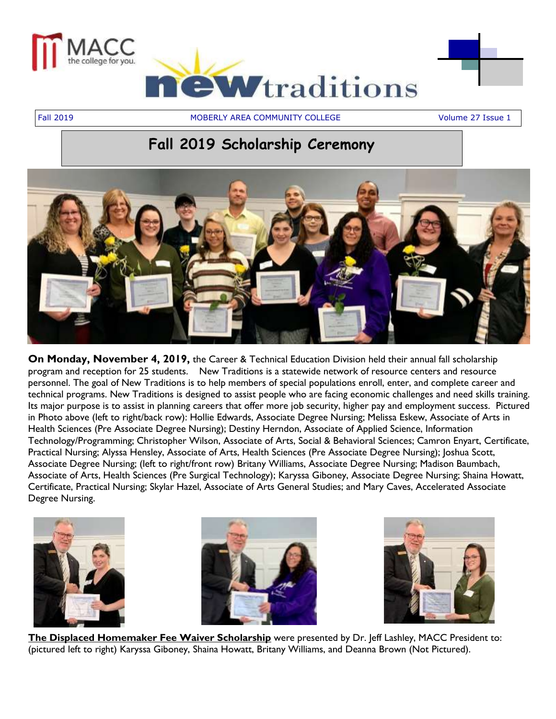

Fall 2019 MOBERLY AREA COMMUNITY COLLEGE Volume 27 Issue 1

## **Fall 2019 Scholarship Ceremony**



**On Monday, November 4, 2019,** the Career & Technical Education Division held their annual fall scholarship program and reception for 25 students. New Traditions is a statewide network of resource centers and resource personnel. The goal of New Traditions is to help members of special populations enroll, enter, and complete career and technical programs. New Traditions is designed to assist people who are facing economic challenges and need skills training. Its major purpose is to assist in planning careers that offer more job security, higher pay and employment success. Pictured in Photo above (left to right/back row): Hollie Edwards, Associate Degree Nursing; Melissa Eskew, Associate of Arts in Health Sciences (Pre Associate Degree Nursing); Destiny Herndon, Associate of Applied Science, Information Technology/Programming; Christopher Wilson, Associate of Arts, Social & Behavioral Sciences; Camron Enyart, Certificate, Practical Nursing; Alyssa Hensley, Associate of Arts, Health Sciences (Pre Associate Degree Nursing); Joshua Scott, Associate Degree Nursing; (left to right/front row) Britany Williams, Associate Degree Nursing; Madison Baumbach, Associate of Arts, Health Sciences (Pre Surgical Technology); Karyssa Giboney, Associate Degree Nursing; Shaina Howatt, Certificate, Practical Nursing; Skylar Hazel, Associate of Arts General Studies; and Mary Caves, Accelerated Associate Degree Nursing.







**The Displaced Homemaker Fee Waiver Scholarship** were presented by Dr. Jeff Lashley, MACC President to: (pictured left to right) Karyssa Giboney, Shaina Howatt, Britany Williams, and Deanna Brown (Not Pictured).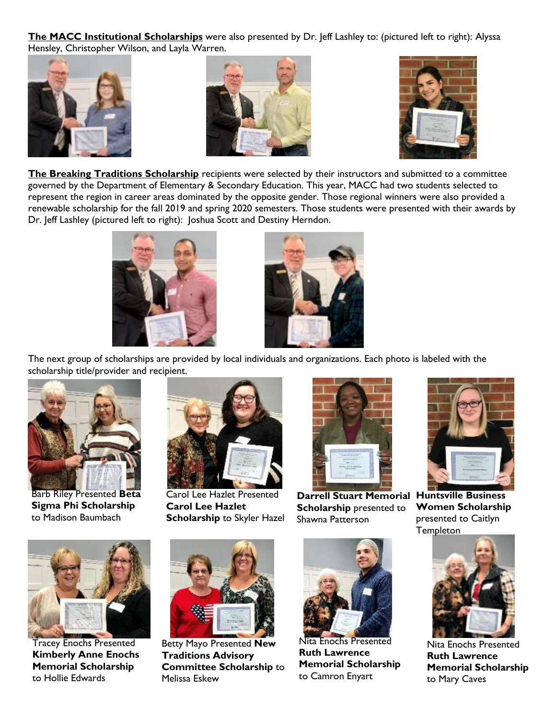**The MACC Institutional Scholarships** were also presented by Dr. Jeff Lashley to: (pictured left to right): Alyssa Hensley, Christopher Wilson, and Layla Warren.







**The Breaking Traditions Scholarship** recipients were selected by their instructors and submitted to a committee governed by the Department of Elementary & Secondary Education. This year, MACC had two students selected to represent the region in career areas dominated by the opposite gender. Those regional winners were also provided a renewable scholarship for the fall 2019 and spring 2020 semesters. Those students were presented with their awards by Dr. Jeff Lashley (pictured left to right): Joshua Scott and Destiny Herndon.





The next group of scholarships are provided by local individuals and organizations. Each photo is labeled with the scholarship title/provider and recipient.



Barb Riley Presented **Beta Sigma Phi Scholarship** to Madison Baumbach



Carol Lee Hazlet Presented **Carol Lee Hazlet Scholarship** to Skyler Hazel



**Darrell Stuart Memorial Huntsville Business Scholarship** presented to Shawna Patterson



**Women Scholarship** presented to Caitlyn **Templeton** 



Tracey Enochs Presented **Kimberly Anne Enochs Memorial Scholarship** to Hollie Edwards



Betty Mayo Presented **New Traditions Advisory Committee Scholarship** to Melissa Eskew



Nita Enochs Presented **Ruth Lawrence Memorial Scholarship** to Camron Enyart



Nita Enochs Presented **Ruth Lawrence Memorial Scholarship** to Mary Caves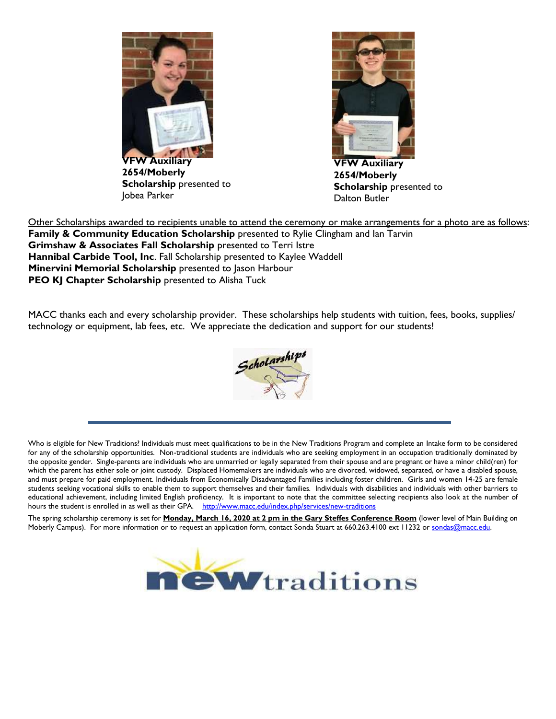

**2654/Moberly Scholarship** presented to Jobea Parker



**VFW Auxiliary 2654/Moberly Scholarship** presented to Dalton Butler

Other Scholarships awarded to recipients unable to attend the ceremony or make arrangements for a photo are as follows: **Family & Community Education Scholarship** presented to Rylie Clingham and Ian Tarvin **Grimshaw & Associates Fall Scholarship** presented to Terri Istre **Hannibal Carbide Tool, Inc**. Fall Scholarship presented to Kaylee Waddell **Minervini Memorial Scholarship** presented to Jason Harbour **PEO KJ Chapter Scholarship** presented to Alisha Tuck

MACC thanks each and every scholarship provider. These scholarships help students with tuition, fees, books, supplies/ technology or equipment, lab fees, etc. We appreciate the dedication and support for our students!



Who is eligible for New Traditions? Individuals must meet qualifications to be in the New Traditions Program and complete an Intake form to be considered for any of the scholarship opportunities. Non-traditional students are individuals who are seeking employment in an occupation traditionally dominated by the opposite gender. Single-parents are individuals who are unmarried or legally separated from their spouse and are pregnant or have a minor child(ren) for which the parent has either sole or joint custody. Displaced Homemakers are individuals who are divorced, widowed, separated, or have a disabled spouse, and must prepare for paid employment. Individuals from Economically Disadvantaged Families including foster children. Girls and women 14-25 are female students seeking vocational skills to enable them to support themselves and their families. Individuals with disabilities and individuals with other barriers to educational achievement, including limited English proficiency. It is important to note that the committee selecting recipients also look at the number of hours the student is enrolled in as well as their GPA. <http://www.macc.edu/index.php/services/new-traditions>

The spring scholarship ceremony is set for **Monday, March 16, 2020 at 2 pm in the Gary Steffes Conference Room** (lower level of Main Building on Moberly Campus). For more information or to request an application form, contact Sonda Stuart at 660.263.4100 ext 11232 or sondas@macc.edu.